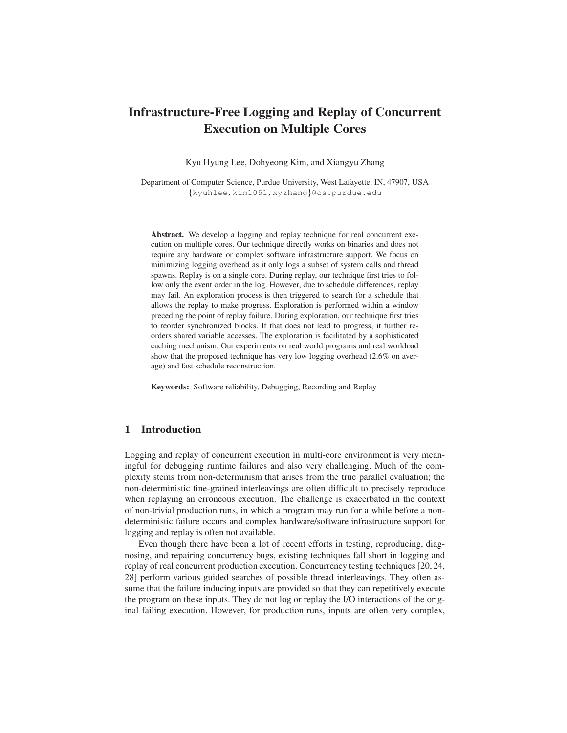# Infrastructure-Free Logging and Replay of Concurrent Execution on Multiple Cores

Kyu Hyung Lee, Dohyeong Kim, and Xiangyu Zhang

Department of Computer Science, Purdue University, West Lafayette, IN, 47907, USA {kyuhlee,kim1051,xyzhang}@cs.purdue.edu

Abstract. We develop a logging and replay technique for real concurrent execution on multiple cores. Our technique directly works on binaries and does not require any hardware or complex software infrastructure support. We focus on minimizing logging overhead as it only logs a subset of system calls and thread spawns. Replay is on a single core. During replay, our technique first tries to follow only the event order in the log. However, due to schedule differences, replay may fail. An exploration process is then triggered to search for a schedule that allows the replay to make progress. Exploration is performed within a window preceding the point of replay failure. During exploration, our technique first tries to reorder synchronized blocks. If that does not lead to progress, it further reorders shared variable accesses. The exploration is facilitated by a sophisticated caching mechanism. Our experiments on real world programs and real workload show that the proposed technique has very low logging overhead (2.6% on average) and fast schedule reconstruction.

Keywords: Software reliability, Debugging, Recording and Replay

# 1 Introduction

Logging and replay of concurrent execution in multi-core environment is very meaningful for debugging runtime failures and also very challenging. Much of the complexity stems from non-determinism that arises from the true parallel evaluation; the non-deterministic fine-grained interleavings are often difficult to precisely reproduce when replaying an erroneous execution. The challenge is exacerbated in the context of non-trivial production runs, in which a program may run for a while before a nondeterministic failure occurs and complex hardware/software infrastructure support for logging and replay is often not available.

Even though there have been a lot of recent efforts in testing, reproducing, diagnosing, and repairing concurrency bugs, existing techniques fall short in logging and replay of real concurrent production execution. Concurrency testing techniques [20, 24, 28] perform various guided searches of possible thread interleavings. They often assume that the failure inducing inputs are provided so that they can repetitively execute the program on these inputs. They do not log or replay the I/O interactions of the original failing execution. However, for production runs, inputs are often very complex,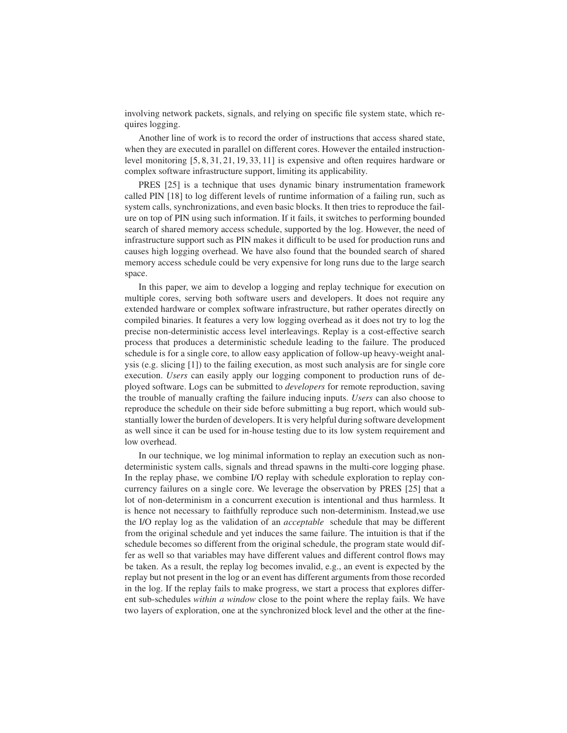involving network packets, signals, and relying on specific file system state, which requires logging.

Another line of work is to record the order of instructions that access shared state, when they are executed in parallel on different cores. However the entailed instructionlevel monitoring [5, 8, 31, 21, 19, 33, 11] is expensive and often requires hardware or complex software infrastructure support, limiting its applicability.

PRES [25] is a technique that uses dynamic binary instrumentation framework called PIN [18] to log different levels of runtime information of a failing run, such as system calls, synchronizations, and even basic blocks. It then tries to reproduce the failure on top of PIN using such information. If it fails, it switches to performing bounded search of shared memory access schedule, supported by the log. However, the need of infrastructure support such as PIN makes it difficult to be used for production runs and causes high logging overhead. We have also found that the bounded search of shared memory access schedule could be very expensive for long runs due to the large search space.

In this paper, we aim to develop a logging and replay technique for execution on multiple cores, serving both software users and developers. It does not require any extended hardware or complex software infrastructure, but rather operates directly on compiled binaries. It features a very low logging overhead as it does not try to log the precise non-deterministic access level interleavings. Replay is a cost-effective search process that produces a deterministic schedule leading to the failure. The produced schedule is for a single core, to allow easy application of follow-up heavy-weight analysis (e.g. slicing [1]) to the failing execution, as most such analysis are for single core execution. *Users* can easily apply our logging component to production runs of deployed software. Logs can be submitted to *developers* for remote reproduction, saving the trouble of manually crafting the failure inducing inputs. *Users* can also choose to reproduce the schedule on their side before submitting a bug report, which would substantially lower the burden of developers. It is very helpful during software development as well since it can be used for in-house testing due to its low system requirement and low overhead.

In our technique, we log minimal information to replay an execution such as nondeterministic system calls, signals and thread spawns in the multi-core logging phase. In the replay phase, we combine I/O replay with schedule exploration to replay concurrency failures on a single core. We leverage the observation by PRES [25] that a lot of non-determinism in a concurrent execution is intentional and thus harmless. It is hence not necessary to faithfully reproduce such non-determinism. Instead,we use the I/O replay log as the validation of an *acceptable* schedule that may be different from the original schedule and yet induces the same failure. The intuition is that if the schedule becomes so different from the original schedule, the program state would differ as well so that variables may have different values and different control flows may be taken. As a result, the replay log becomes invalid, e.g., an event is expected by the replay but not present in the log or an event has different arguments from those recorded in the log. If the replay fails to make progress, we start a process that explores different sub-schedules *within a window* close to the point where the replay fails. We have two layers of exploration, one at the synchronized block level and the other at the fine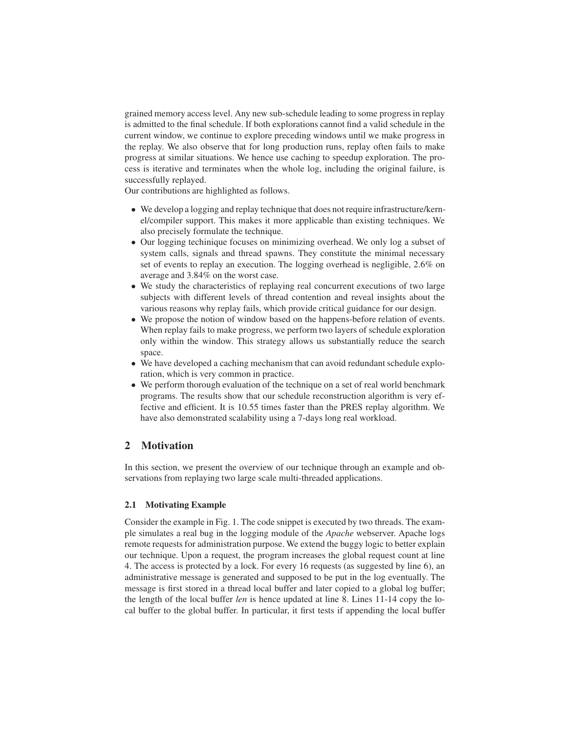grained memory access level. Any new sub-schedule leading to some progress in replay is admitted to the final schedule. If both explorations cannot find a valid schedule in the current window, we continue to explore preceding windows until we make progress in the replay. We also observe that for long production runs, replay often fails to make progress at similar situations. We hence use caching to speedup exploration. The process is iterative and terminates when the whole log, including the original failure, is successfully replayed.

Our contributions are highlighted as follows.

- We develop a logging and replay technique that does not require infrastructure/kernel/compiler support. This makes it more applicable than existing techniques. We also precisely formulate the technique.
- Our logging techinique focuses on minimizing overhead. We only log a subset of system calls, signals and thread spawns. They constitute the minimal necessary set of events to replay an execution. The logging overhead is negligible, 2.6% on average and 3.84% on the worst case.
- We study the characteristics of replaying real concurrent executions of two large subjects with different levels of thread contention and reveal insights about the various reasons why replay fails, which provide critical guidance for our design.
- We propose the notion of window based on the happens-before relation of events. When replay fails to make progress, we perform two layers of schedule exploration only within the window. This strategy allows us substantially reduce the search space.
- We have developed a caching mechanism that can avoid redundant schedule exploration, which is very common in practice.
- We perform thorough evaluation of the technique on a set of real world benchmark programs. The results show that our schedule reconstruction algorithm is very effective and efficient. It is 10.55 times faster than the PRES replay algorithm. We have also demonstrated scalability using a 7-days long real workload.

# 2 Motivation

In this section, we present the overview of our technique through an example and observations from replaying two large scale multi-threaded applications.

# 2.1 Motivating Example

Consider the example in Fig. 1. The code snippet is executed by two threads. The example simulates a real bug in the logging module of the *Apache* webserver. Apache logs remote requests for administration purpose. We extend the buggy logic to better explain our technique. Upon a request, the program increases the global request count at line 4. The access is protected by a lock. For every 16 requests (as suggested by line 6), an administrative message is generated and supposed to be put in the log eventually. The message is first stored in a thread local buffer and later copied to a global log buffer; the length of the local buffer *len* is hence updated at line 8. Lines 11-14 copy the local buffer to the global buffer. In particular, it first tests if appending the local buffer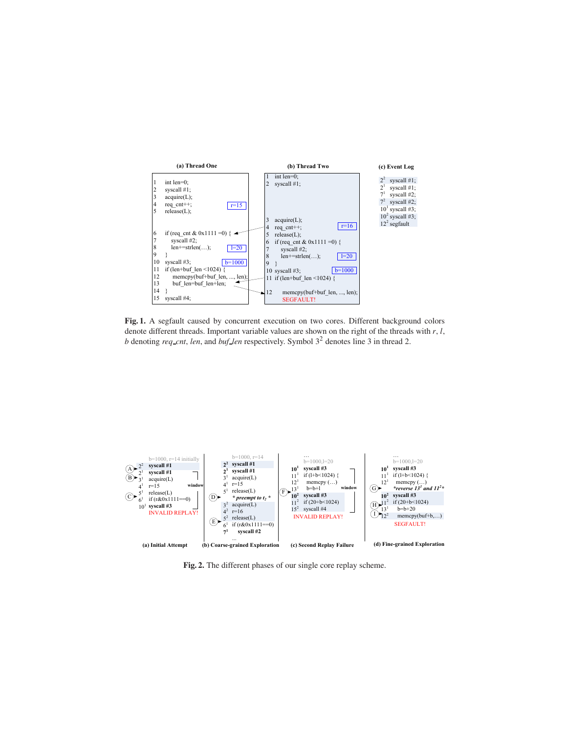

Fig. 1. A segfault caused by concurrent execution on two cores. Different background colors denote different threads. Important variable values are shown on the right of the threads with *r*, *l*, *b* denoting *req cnt*, *len*, and *buf len* respectively. Symbol 3<sup>2</sup> denotes line 3 in thread 2.



Fig. 2. The different phases of our single core replay scheme.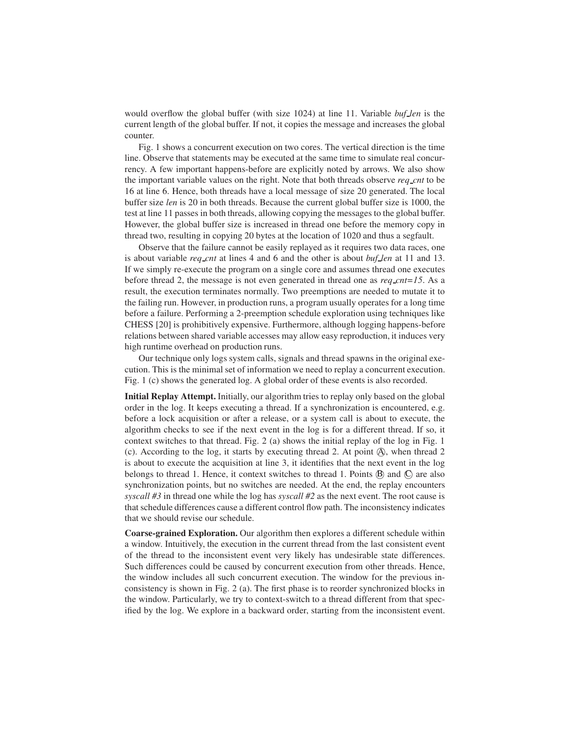would overflow the global buffer (with size 1024) at line 11. Variable *buf len* is the current length of the global buffer. If not, it copies the message and increases the global counter.

Fig. 1 shows a concurrent execution on two cores. The vertical direction is the time line. Observe that statements may be executed at the same time to simulate real concurrency. A few important happens-before are explicitly noted by arrows. We also show the important variable values on the right. Note that both threads observe *req cnt* to be 16 at line 6. Hence, both threads have a local message of size 20 generated. The local buffer size *len* is 20 in both threads. Because the current global buffer size is 1000, the test at line 11 passes in both threads, allowing copying the messages to the global buffer. However, the global buffer size is increased in thread one before the memory copy in thread two, resulting in copying 20 bytes at the location of 1020 and thus a segfault.

Observe that the failure cannot be easily replayed as it requires two data races, one is about variable *req cnt* at lines 4 and 6 and the other is about *buf len* at 11 and 13. If we simply re-execute the program on a single core and assumes thread one executes before thread 2, the message is not even generated in thread one as *req cnt=15*. As a result, the execution terminates normally. Two preemptions are needed to mutate it to the failing run. However, in production runs, a program usually operates for a long time before a failure. Performing a 2-preemption schedule exploration using techniques like CHESS [20] is prohibitively expensive. Furthermore, although logging happens-before relations between shared variable accesses may allow easy reproduction, it induces very high runtime overhead on production runs.

Our technique only logs system calls, signals and thread spawns in the original execution. This is the minimal set of information we need to replay a concurrent execution. Fig. 1 (c) shows the generated log. A global order of these events is also recorded.

Initial Replay Attempt. Initially, our algorithm tries to replay only based on the global order in the log. It keeps executing a thread. If a synchronization is encountered, e.g. before a lock acquisition or after a release, or a system call is about to execute, the algorithm checks to see if the next event in the log is for a different thread. If so, it context switches to that thread. Fig. 2 (a) shows the initial replay of the log in Fig. 1  $(c)$ . According to the log, it starts by executing thread 2. At point  $(A)$ , when thread 2 is about to execute the acquisition at line 3, it identifies that the next event in the log belongs to thread 1. Hence, it context switches to thread 1. Points  $\emptyset$  and  $\emptyset$  are also synchronization points, but no switches are needed. At the end, the replay encounters *syscall #3* in thread one while the log has *syscall #2* as the next event. The root cause is that schedule differences cause a different control flow path. The inconsistency indicates that we should revise our schedule.

Coarse-grained Exploration. Our algorithm then explores a different schedule within a window. Intuitively, the execution in the current thread from the last consistent event of the thread to the inconsistent event very likely has undesirable state differences. Such differences could be caused by concurrent execution from other threads. Hence, the window includes all such concurrent execution. The window for the previous inconsistency is shown in Fig. 2 (a). The first phase is to reorder synchronized blocks in the window. Particularly, we try to context-switch to a thread different from that specified by the log. We explore in a backward order, starting from the inconsistent event.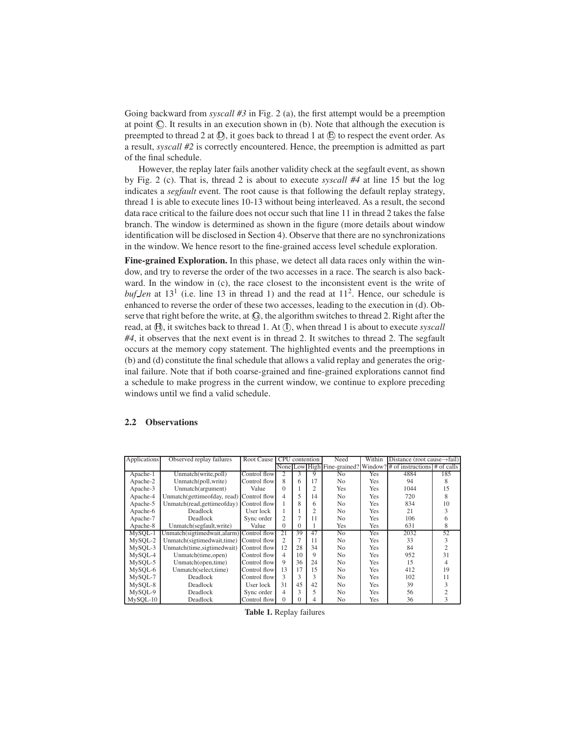Going backward from *syscall #3* in Fig. 2 (a), the first attempt would be a preemption at point C. It results in an execution shown in (b). Note that although the execution is preempted to thread 2 at  $(D)$ , it goes back to thread 1 at  $(E)$  to respect the event order. As a result, *syscall #2* is correctly encountered. Hence, the preemption is admitted as part of the final schedule.

However, the replay later fails another validity check at the segfault event, as shown by Fig. 2 (c). That is, thread 2 is about to execute *syscall #4* at line 15 but the log indicates a *segfault* event. The root cause is that following the default replay strategy, thread 1 is able to execute lines 10-13 without being interleaved. As a result, the second data race critical to the failure does not occur such that line 11 in thread 2 takes the false branch. The window is determined as shown in the figure (more details about window identification will be disclosed in Section 4). Observe that there are no synchronizations in the window. We hence resort to the fine-grained access level schedule exploration.

Fine-grained Exploration. In this phase, we detect all data races only within the window, and try to reverse the order of the two accesses in a race. The search is also backward. In the window in (c), the race closest to the inconsistent event is the write of *buf len* at  $13<sup>1</sup>$  (i.e. line 13 in thread 1) and the read at  $11<sup>2</sup>$ . Hence, our schedule is enhanced to reverse the order of these two accesses, leading to the execution in (d). Observe that right before the write, at  $\Theta$ , the algorithm switches to thread 2. Right after the read, at  $(H)$ , it switches back to thread 1. At  $(T)$ , when thread 1 is about to execute *syscall #4*, it observes that the next event is in thread 2. It switches to thread 2. The segfault occurs at the memory copy statement. The highlighted events and the preemptions in (b) and (d) constitute the final schedule that allows a valid replay and generates the original failure. Note that if both coarse-grained and fine-grained explorations cannot find a schedule to make progress in the current window, we continue to explore preceding windows until we find a valid schedule.

#### 2.2 Observations

| Applications | Observed replay failures                   | Root Cause   | <b>CPU</b><br>contention |          | Need           | Within         | Distance (root cause $\rightarrow$ fail) |                                                                  |                |
|--------------|--------------------------------------------|--------------|--------------------------|----------|----------------|----------------|------------------------------------------|------------------------------------------------------------------|----------------|
|              |                                            |              |                          |          |                |                |                                          | None Low High Fine-grained? Window? # of instructions # of calls |                |
| Apache-1     | Unmatch(write,poll)                        | Control flow | 2                        | 3        | 9              | N <sub>0</sub> | Yes                                      | 4884                                                             | 185            |
| Apache-2     | Unmatch(poll,write)                        | Control flow | 8                        | 6        | 17             | N <sub>0</sub> | Yes                                      | 94                                                               | 8              |
| Apache-3     | Unmatch(argument)                          | Value        | $\Omega$                 |          | $\overline{c}$ | <b>Yes</b>     | Yes                                      | 1044                                                             | 15             |
| Apache-4     | Unmatch(gettimeofday, read) Control flow   |              | $\overline{4}$           | 5        | 14             | No             | Yes                                      | 720                                                              | 8              |
| Apache-5     | Unmatch(read, gettime of day) Control flow |              |                          | 8        | 6              | N <sub>0</sub> | Yes                                      | 834                                                              | 10             |
| Apache-6     | Deadlock                                   | User lock    |                          |          | $\overline{2}$ | No             | Yes                                      | 21                                                               | 3              |
| Apache-7     | Deadlock                                   | Sync order   | $\overline{c}$           |          | 11             | No             | Yes                                      | 106                                                              | 6              |
| Apache-8     | Unmatch(segfault, write)                   | Value        | $\Omega$                 | $\Omega$ |                | <b>Yes</b>     | Yes                                      | 631                                                              | 8              |
| MySOL-1      | Unmatch(sigtimedwait, alarm) Control flow  |              | 21                       | 39       | 47             | No             | Yes                                      | 2032                                                             | 52             |
| MySOL-2      | Unmatch(sigtimedwait,time) Control flow    |              | $\overline{c}$           |          | 11             | No             | Yes                                      | 33                                                               | 3              |
| MySQL-3      | Unmatch(time,sigtimedwait)                 | Control flow | 12                       | 28       | 34             | N <sub>0</sub> | Yes                                      | 84                                                               | $\overline{c}$ |
| MySQL-4      | Unmatch(time,open)                         | Control flow | 4                        | 10       | 9              | N <sub>0</sub> | Yes                                      | 952                                                              | 31             |
| MySOL-5      | Unmatch(open,time)                         | Control flow | 9                        | 36       | 24             | N <sub>0</sub> | Yes                                      | 15                                                               | 4              |
| MySOL-6      | Unmatch(select,time)                       | Control flow | 13                       | 17       | 15             | N <sub>0</sub> | Yes                                      | 412                                                              | 19             |
| MySOL-7      | Deadlock                                   | Control flow | 3                        | 3        | 3              | No             | Yes                                      | 102                                                              | 11             |
| MySOL-8      | Deadlock                                   | User lock    | 31                       | 45       | 42             | No             | Yes                                      | 39                                                               | 3              |
| MySOL-9      | Deadlock                                   | Sync order   | 4                        | 3        | 5              | N <sub>0</sub> | Yes                                      | 56                                                               | $\overline{2}$ |
| $MySOL-10$   | Deadlock                                   | Control flow | $\Omega$                 |          | 4              | N <sub>0</sub> | Yes                                      | 36                                                               | 3              |

Table 1. Replay failures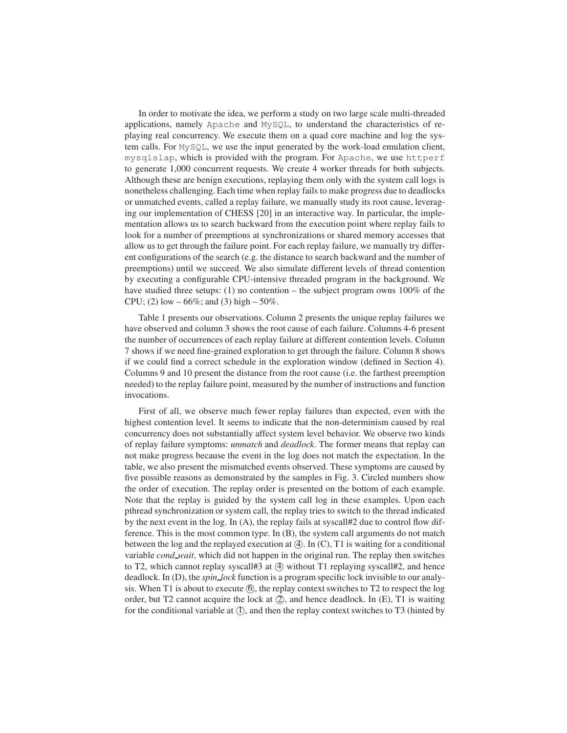In order to motivate the idea, we perform a study on two large scale multi-threaded applications, namely Apache and MySQL, to understand the characteristics of replaying real concurrency. We execute them on a quad core machine and log the system calls. For MySQL, we use the input generated by the work-load emulation client, mysqlslap, which is provided with the program. For Apache, we use httperf to generate 1,000 concurrent requests. We create 4 worker threads for both subjects. Although these are benign executions, replaying them only with the system call logs is nonetheless challenging. Each time when replay fails to make progress due to deadlocks or unmatched events, called a replay failure, we manually study its root cause, leveraging our implementation of CHESS [20] in an interactive way. In particular, the implementation allows us to search backward from the execution point where replay fails to look for a number of preemptions at synchronizations or shared memory accesses that allow us to get through the failure point. For each replay failure, we manually try different configurations of the search (e.g. the distance to search backward and the number of preemptions) until we succeed. We also simulate different levels of thread contention by executing a configurable CPU-intensive threaded program in the background. We have studied three setups: (1) no contention – the subject program owns 100% of the CPU; (2) low  $-66\%$ ; and (3) high  $-50\%$ .

Table 1 presents our observations. Column 2 presents the unique replay failures we have observed and column 3 shows the root cause of each failure. Columns 4-6 present the number of occurrences of each replay failure at different contention levels. Column 7 shows if we need fine-grained exploration to get through the failure. Column 8 shows if we could find a correct schedule in the exploration window (defined in Section 4). Columns 9 and 10 present the distance from the root cause (i.e. the farthest preemption needed) to the replay failure point, measured by the number of instructions and function invocations.

First of all, we observe much fewer replay failures than expected, even with the highest contention level. It seems to indicate that the non-determinism caused by real concurrency does not substantially affect system level behavior. We observe two kinds of replay failure symptoms: *unmatch* and *deadlock*. The former means that replay can not make progress because the event in the log does not match the expectation. In the table, we also present the mismatched events observed. These symptoms are caused by five possible reasons as demonstrated by the samples in Fig. 3. Circled numbers show the order of execution. The replay order is presented on the bottom of each example. Note that the replay is guided by the system call log in these examples. Upon each pthread synchronization or system call, the replay tries to switch to the thread indicated by the next event in the log. In (A), the replay fails at syscall#2 due to control flow difference. This is the most common type. In (B), the system call arguments do not match between the log and the replayed execution at  $(4)$ . In  $(C)$ , T1 is waiting for a conditional variable *cond wait*, which did not happen in the original run. The replay then switches to T2, which cannot replay syscall#3 at  $(4)$  without T1 replaying syscall#2, and hence deadlock. In (D), the *spin lock* function is a program specific lock invisible to our analysis. When T1 is about to execute  $(6)$ , the replay context switches to T2 to respect the log order, but T2 cannot acquire the lock at  $(2)$ , and hence deadlock. In  $(E)$ , T1 is waiting for the conditional variable at  $(1)$ , and then the replay context switches to T3 (hinted by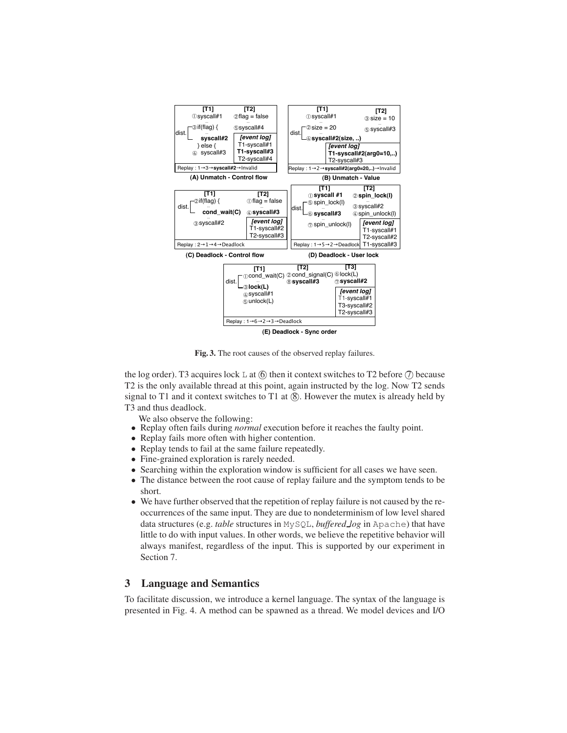

Fig. 3. The root causes of the observed replay failures.

the log order). T3 acquires lock  $\perp$  at  $(6)$  then it context switches to T2 before  $(7)$  because T2 is the only available thread at this point, again instructed by the log. Now T2 sends signal to T1 and it context switches to T1 at  $(8)$ . However the mutex is already held by T3 and thus deadlock.

We also observe the following:

- Replay often fails during *normal* execution before it reaches the faulty point.
- Replay fails more often with higher contention.
- Replay tends to fail at the same failure repeatedly.
- Fine-grained exploration is rarely needed.
- Searching within the exploration window is sufficient for all cases we have seen.
- The distance between the root cause of replay failure and the symptom tends to be short.
- We have further observed that the repetition of replay failure is not caused by the reoccurrences of the same input. They are due to nondeterminism of low level shared data structures (e.g. *table* structures in MySQL, *buffered log* in Apache) that have little to do with input values. In other words, we believe the repetitive behavior will always manifest, regardless of the input. This is supported by our experiment in Section 7.

# 3 Language and Semantics

To facilitate discussion, we introduce a kernel language. The syntax of the language is presented in Fig. 4. A method can be spawned as a thread. We model devices and I/O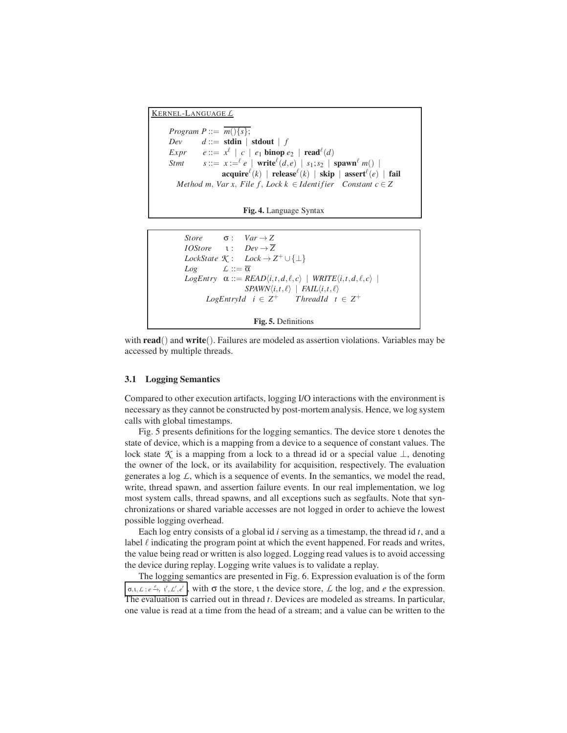KERNEL-LANGUAGE *L Program P* ::=  $\overline{m(\lbrace s \rbrace)}$ ; *Dev*  $d ::=$  **stdin** | **stdout** | *f*  $\mathit{Expr}$   $e ::= x^{\ell} \mid c \mid e_1 \text{ binop } e_2 \mid \text{read}^{\ell}(d)$ *Stmt*  $s ::= x := e^e e \mid \text{write}^{\ell}(d, e) \mid s_1; s_2 \mid \text{spam}^{\ell} m() \mid$  $\mathbf{acquire}^\ell(k)$  |  $\mathbf{release}^\ell(k)$  |  $\mathbf{skip}$  |  $\mathbf{assert}^\ell(e)$  |  $\mathbf{fail}$ *Method m, Var x, File f, Lock k*  $\in$  *Identifier Constant c*  $\in$  *Z* 



```
Store \sigma: Var \rightarrow ZIOStore ι: Dev \rightarrow \overline{Z}LockState K : Lock \rightarrow Z^{+} \cup \{\perp\}Log L := \overline{\alpha}LogEntry \alpha ::= READ\langle i, t, d, \ell, c \rangle \mid WRITE\langle i, t, d, \ell, c \rangleSPAWN\langle i,t,\ell \rangle | FAIL\langle i,t,\ell \rangleLogEntryId i \in Z^++ ThreadId t \in Z^+Fig. 5. Definitions
```
with **read**() and **write**(). Failures are modeled as assertion violations. Variables may be accessed by multiple threads.

#### 3.1 Logging Semantics

Compared to other execution artifacts, logging I/O interactions with the environment is necessary as they cannot be constructed by post-mortem analysis. Hence, we log system calls with global timestamps.

Fig. 5 presents definitions for the logging semantics. The device store ι denotes the state of device, which is a mapping from a device to a sequence of constant values. The lock state  $\mathcal K$  is a mapping from a lock to a thread id or a special value  $\perp$ , denoting the owner of the lock, or its availability for acquisition, respectively. The evaluation generates a log *L*, which is a sequence of events. In the semantics, we model the read, write, thread spawn, and assertion failure events. In our real implementation, we log most system calls, thread spawns, and all exceptions such as segfaults. Note that synchronizations or shared variable accesses are not logged in order to achieve the lowest possible logging overhead.

Each log entry consists of a global id *i* serving as a timestamp, the thread id *t*, and a label  $\ell$  indicating the program point at which the event happened. For reads and writes, the value being read or written is also logged. Logging read values is to avoid accessing the device during replay. Logging write values is to validate a replay.

The logging semantics are presented in Fig. 6. Expression evaluation is of the form  $\sigma, \tau, \mathcal{L}: e \xrightarrow{e} t, t', \mathcal{L}', e'$ , with  $\sigma$  the store,  $\tau$  the device store,  $\mathcal{L}$  the log, and *e* the expression. The evaluation is carried out in thread *t*. Devices are modeled as streams. In particular, one value is read at a time from the head of a stream; and a value can be written to the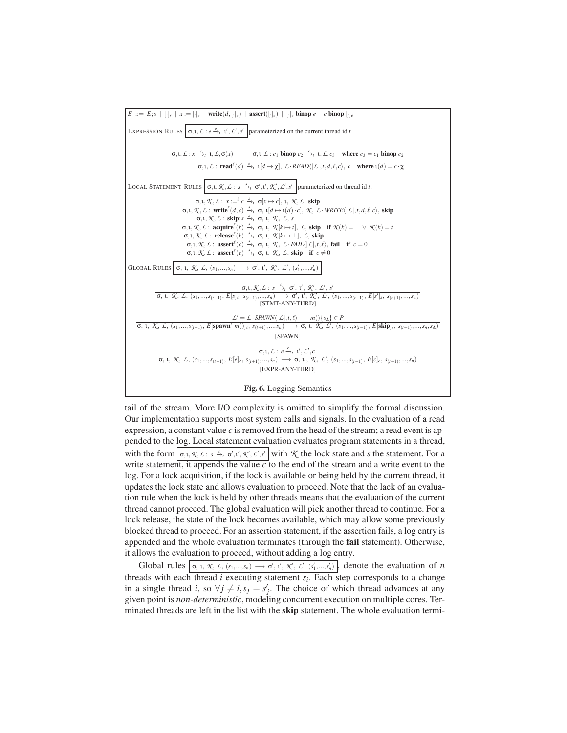

tail of the stream. More I/O complexity is omitted to simplify the formal discussion. Our implementation supports most system calls and signals. In the evaluation of a read expression, a constant value *c* is removed from the head of the stream; a read event is appended to the log. Local statement evaluation evaluates program statements in a thread, with the form  $\sigma$ ,*i*, *K*, *L* : *s*  $\frac{s}{\tau}$ ,  $\sigma'$ ,*i'*, *K'*, *L'*, $s'$  with *K* the lock state and *s* the statement. For a write statement, it appends the value *c* to the end of the stream and a write event to the log. For a lock acquisition, if the lock is available or being held by the current thread, it updates the lock state and allows evaluation to proceed. Note that the lack of an evaluation rule when the lock is held by other threads means that the evaluation of the current thread cannot proceed. The global evaluation will pick another thread to continue. For a lock release, the state of the lock becomes available, which may allow some previously blocked thread to proceed. For an assertion statement, if the assertion fails, a log entry is appended and the whole evaluation terminates (through the fail statement). Otherwise, it allows the evaluation to proceed, without adding a log entry.

Global rules  $\sigma$ , *i*, *K*, *L*,  $(s_1, ..., s_n) \rightarrow \sigma'$ , *i'*, *K'*, *L'*,  $(s'_1, ..., s'_n)$ , denote the evaluation of *n* threads with each thread *i* executing statement *s<sup>i</sup>* . Each step corresponds to a change in a single thread *i*, so  $\forall j \neq i, s_j = s'_j$ . The choice of which thread advances at any given point is *non-deterministic*, modeling concurrent execution on multiple cores. Terminated threads are left in the list with the skip statement. The whole evaluation termi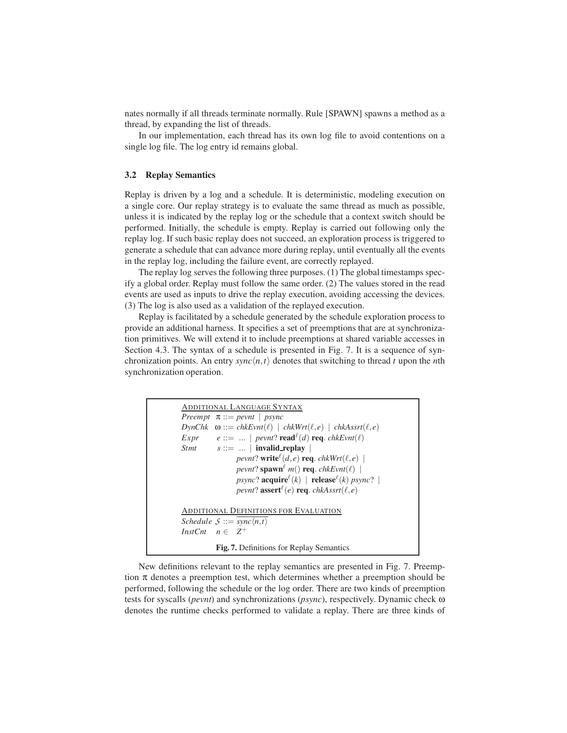nates normally if all threads terminate normally. Rule [SPAWN] spawns a method as a thread, by expanding the list of threads.

In our implementation, each thread has its own log file to avoid contentions on a single log file. The log entry id remains global.

#### 3.2 Replay Semantics

Replay is driven by a log and a schedule. It is deterministic, modeling execution on a single core. Our replay strategy is to evaluate the same thread as much as possible, unless it is indicated by the replay log or the schedule that a context switch should be performed. Initially, the schedule is empty. Replay is carried out following only the replay log. If such basic replay does not succeed, an exploration process is triggered to generate a schedule that can advance more during replay, until eventually all the events in the replay log, including the failure event, are correctly replayed.

The replay log serves the following three purposes. (1) The global timestamps specify a global order. Replay must follow the same order. (2) The values stored in the read events are used as inputs to drive the replay execution, avoiding accessing the devices. (3) The log is also used as a validation of the replayed execution.

Replay is facilitated by a schedule generated by the schedule exploration process to provide an additional harness. It specifies a set of preemptions that are at synchronization primitives. We will extend it to include preemptions at shared variable accesses in Section 4.3. The syntax of a schedule is presented in Fig. 7. It is a sequence of synchronization points. An entry  $sync\langle n,t \rangle$  denotes that switching to thread *t* upon the *n*th synchronization operation.

```
ADDITIONAL LANGUAGE SYNTAX
Preempt π ::= pevnt | psync
DynChk \quad \omega ::= chkEvnt(\ell) \mid chkWrt(\ell, e) \mid chkAssrt(\ell, e)Expr e ::= ... | <i>pevnt</i>? read<sup>\ell</sup>(d) req. chkEvnt(\ell)
Stmt s ::= ... | invalid_replay |
                    pevnt? write<sup>\ell</sup>(d, e) req. chkWrt(\ell, e) |
                   pevnt? \text{spam}^{\ell} m() req. chkEvnt(\ell) |
                    psync? acquire^{\ell}(k) | relcase^{\ell}(k) psync? |
                    pevnt? assert<sup>\ell</sup>(e) req. chkAssrt(\ell,e)
ADDITIONAL DEFINITIONS FOR EVALUATION
Schedule S ::= \overline{sync \langle n, t \rangle}InstCnt n \in \mathbb{Z}^+Fig. 7. Definitions for Replay Semantics
```
New definitions relevant to the replay semantics are presented in Fig. 7. Preemption  $\pi$  denotes a preemption test, which determines whether a preemption should be performed, following the schedule or the log order. There are two kinds of preemption tests for syscalls (*pevnt*) and synchronizations (*psync*), respectively. Dynamic check ω denotes the runtime checks performed to validate a replay. There are three kinds of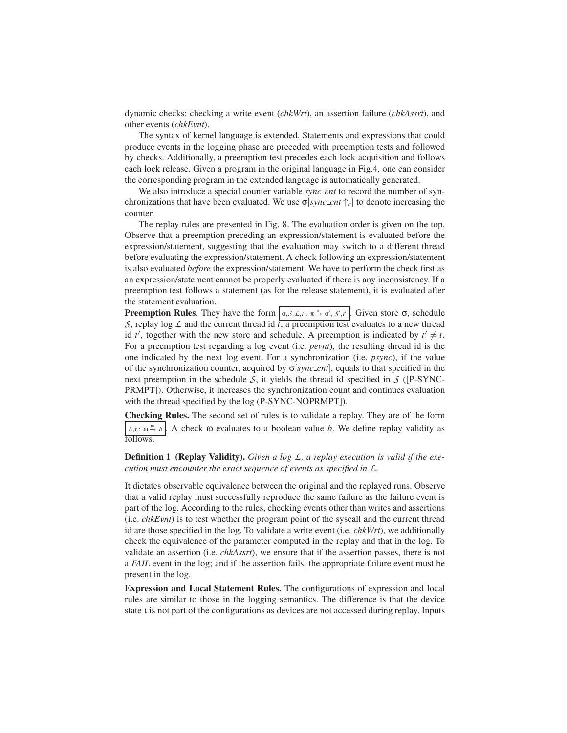dynamic checks: checking a write event (*chkWrt*), an assertion failure (*chkAssrt*), and other events (*chkEvnt*).

The syntax of kernel language is extended. Statements and expressions that could produce events in the logging phase are preceded with preemption tests and followed by checks. Additionally, a preemption test precedes each lock acquisition and follows each lock release. Given a program in the original language in Fig.4, one can consider the corresponding program in the extended language is automatically generated.

We also introduce a special counter variable *sync cnt* to record the number of synchronizations that have been evaluated. We use  $\sigma$ [*sync\_cnt*  $\uparrow_c$ ] to denote increasing the counter.

The replay rules are presented in Fig. 8. The evaluation order is given on the top. Observe that a preemption preceding an expression/statement is evaluated before the expression/statement, suggesting that the evaluation may switch to a different thread before evaluating the expression/statement. A check following an expression/statement is also evaluated *before* the expression/statement. We have to perform the check first as an expression/statement cannot be properly evaluated if there is any inconsistency. If a preemption test follows a statement (as for the release statement), it is evaluated after the statement evaluation.

**Preemption Rules**. They have the form  $\Big| \sigma, S, L, t : \pi \stackrel{\pi}{\rightarrow} \sigma', S', t' \Big|$ . Given store  $\sigma$ , schedule *S*, replay log  $\angle$  and the current thread id  $\overline{t}$ , a preemption test evaluates to a new thread id *t'*, together with the new store and schedule. A preemption is indicated by  $t' \neq t$ . For a preemption test regarding a log event (i.e. *pevnt*), the resulting thread id is the one indicated by the next log event. For a synchronization (i.e. *psync*), if the value of the synchronization counter, acquired by σ[*sync cnt*], equals to that specified in the next preemption in the schedule  $S$ , it yields the thread id specified in  $S$  ([P-SYNC-PRMPT]). Otherwise, it increases the synchronization count and continues evaluation with the thread specified by the log (P-SYNC-NOPRMPT]).

Checking Rules. The second set of rules is to validate a replay. They are of the form  $L, t : ∞ → b$ . A check  $ω$  evaluates to a boolean value *b*. We define replay validity as follows.

Definition 1 (Replay Validity). *Given a log L, a replay execution is valid if the execution must encounter the exact sequence of events as specified in L.*

It dictates observable equivalence between the original and the replayed runs. Observe that a valid replay must successfully reproduce the same failure as the failure event is part of the log. According to the rules, checking events other than writes and assertions (i.e. *chkEvnt*) is to test whether the program point of the syscall and the current thread id are those specified in the log. To validate a write event (i.e. *chkWrt*), we additionally check the equivalence of the parameter computed in the replay and that in the log. To validate an assertion (i.e. *chkAssrt*), we ensure that if the assertion passes, there is not a *FAIL* event in the log; and if the assertion fails, the appropriate failure event must be present in the log.

Expression and Local Statement Rules. The configurations of expression and local rules are similar to those in the logging semantics. The difference is that the device state t is not part of the configurations as devices are not accessed during replay. Inputs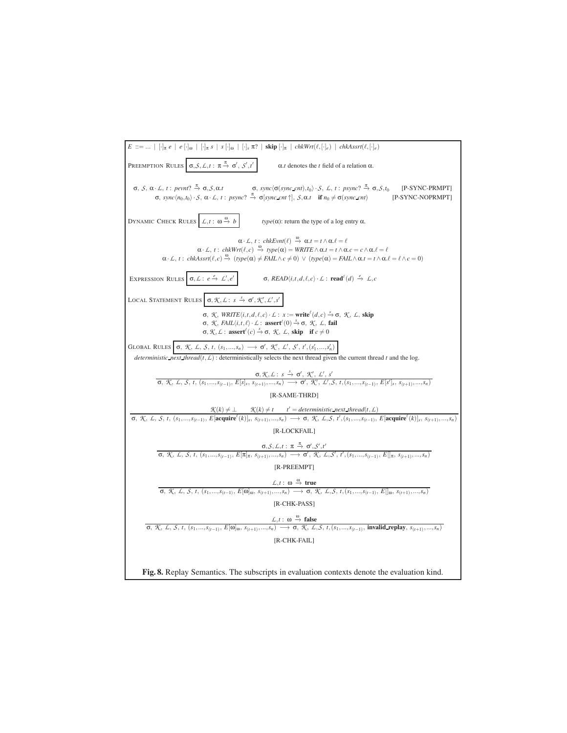| $E ::=    [\cdot]_{\pi} e   e [\cdot]_{\omega}   [\cdot]_{\pi} s   s [\cdot]_{\omega}   [\cdot]_{s} \pi?   \text{skip} [\cdot]_{\pi}   chkWrt(\ell, [\cdot]_{e})   chkAsstr(\ell, [\cdot]_{e})$                                                                                                                                                                                                                                                                                                                                                                       |
|-----------------------------------------------------------------------------------------------------------------------------------------------------------------------------------------------------------------------------------------------------------------------------------------------------------------------------------------------------------------------------------------------------------------------------------------------------------------------------------------------------------------------------------------------------------------------|
| PREEMPTION RULES $\sigma, S, L, t : \pi \stackrel{\pi}{\rightarrow} \sigma', S', t'$<br>$\alpha$ . <i>t</i> denotes the <i>t</i> field of a relation $\alpha$ .                                                                                                                                                                                                                                                                                                                                                                                                       |
| $\sigma$ , S, $\alpha$ · L, t: pevnt? $\stackrel{\pi}{\rightarrow} \sigma$ , S, $\alpha$ .t<br>$\sigma$ , sync $\langle \sigma(sync\_cnt), t_0 \rangle \cdot S$ , L, t: psync? $\stackrel{\pi}{\rightarrow} \sigma$ , S, t <sub>0</sub><br>[P-SYNC-PRMPT]<br>$\sigma$ , sync $\langle n_0,t_0\rangle \cdot S$ , $\alpha \cdot L$ , t: psync? $\stackrel{\pi}{\rightarrow} \sigma$ [sync_cnt $\uparrow$ ], $S$ , $\alpha.t$ if $n_0 \neq \sigma$ (sync_cnt)<br>[P-SYNC-NOPRMPT]                                                                                        |
| DYNAMIC CHECK RULES $\left  L, t : \omega \stackrel{\omega}{\rightarrow} b \right $<br>$type(\alpha)$ : return the type of a log entry $\alpha$ .                                                                                                                                                                                                                                                                                                                                                                                                                     |
| $\alpha \cdot \mathcal{L}, t$ : chkEvnt $(\ell) \stackrel{\omega}{\rightarrow} \alpha.t = t \wedge \alpha.\ell = \ell$<br>$\alpha \cdot \mathcal{L}, t$ : chkWrt $(\ell, c) \stackrel{\omega}{\rightarrow} type(\alpha) = WRITE \wedge \alpha.t = t \wedge \alpha.c = c \wedge \alpha.\ell = \ell$<br>$\alpha \cdot \mathcal{L}, t: \ \textit{chkAsstr}(\ell, c) \xrightarrow{\omega} (\textit{type}(\alpha) \neq \textit{FAIL} \land c \neq 0) \ \lor \ (\textit{type}(\alpha) = \textit{FAIL} \land \alpha \cdot t = t \land \alpha \cdot \ell = \ell \land c = 0)$ |
| EXPRESSION RULES $\sigma, L: e \xrightarrow{e} L', e'$ $\sigma, READ\langle i, t, d, \ell, c \rangle \cdot L: \text{read}^{\ell}(d) \xrightarrow{e} L, c$                                                                                                                                                                                                                                                                                                                                                                                                             |
| LOCAL STATEMENT RULES $\boxed{\sigma, \mathcal{K}, \mathcal{L}: s} \stackrel{s}{\rightarrow} \sigma', \mathcal{K}', \mathcal{L}', s'$                                                                                                                                                                                                                                                                                                                                                                                                                                 |
| $σ, X, WRITE(i, t, d, l, c) \cdot L : x := \text{write}^{l}(d, c) \stackrel{s}{\rightarrow} σ, X, L, \text{ skip}$<br>$\sigma$ , <i>K</i> , <i>FAIL</i> $\langle i, t, l \rangle$ ⋅ <i>L</i> : <b>assert</b> <sup><math>l</math></sup> (0) $\stackrel{s}{\rightarrow}$ $\sigma$ , <i>K</i> , <i>L</i> , <b>fail</b><br>$\sigma, \mathcal{K}, \mathcal{L}$ : assert <sup><math>\ell(c) \stackrel{s}{\rightarrow} \sigma</math>, <math>\mathcal{K}, \mathcal{L}</math>, skip if <math>c \neq 0</math></sup>                                                             |
| $\texttt{GLOBAL RULES} \left[\right. \sigma,\; \mathcal{K},\; \mathcal{L},\; \mathcal{S},\; t,\; (s_1,,s_n)\; \longrightarrow\; \sigma',\; \mathcal{K}',\; \mathcal{L}',\; \mathcal{S}',\; t', (s_1',,s_n') \; \right]$<br><i>deterministic next thread</i> ( $t, L$ ): deterministically selects the next thread given the current thread t and the log.                                                                                                                                                                                                             |
| $\frac{\sigma, \mathcal{K}, \mathcal{L}: s \stackrel{\rightarrow}{\rightarrow} \sigma', \mathcal{K}', \mathcal{L}', s'}{\sigma, \mathcal{K}, \mathcal{L}, \mathcal{S}, t, (s_1, \ldots, s_{(t-1)}, E[s], s_{(t+1)}, \ldots, s_n) \longrightarrow \sigma', \mathcal{K}', \mathcal{L}', \mathcal{S}, t, (s_1, \ldots, s_{(t-1)}, E[s'], s_{(t+1)}, \ldots, s_n)$                                                                                                                                                                                                        |
| [R-SAME-THRD]                                                                                                                                                                                                                                                                                                                                                                                                                                                                                                                                                         |
| $\frac{\mathcal{K}(k) \neq \bot \mathcal{K}(k) \neq t'}{\sigma, \ \mathcal{K}, \ \mathcal{L}, \ \mathcal{S}, \ t, \ (s_1, \ldots, s_{(t-1)}, E[\text{acquire}^{\ell}(k)]_s, \ s_{(t+1)}, \ldots, s_n) \longrightarrow \sigma, \ \mathcal{K}, \ \mathcal{L}, \mathcal{S}, \ t', (s_1, \ldots, s_{(t-1)}, E[\text{acquire}^{\ell}(k)]_s, \ s_{(t+1)}, \ldots, s_n)$                                                                                                                                                                                                     |
|                                                                                                                                                                                                                                                                                                                                                                                                                                                                                                                                                                       |
| [R-LOCKFAIL]                                                                                                                                                                                                                                                                                                                                                                                                                                                                                                                                                          |
| $\sigma, \mathcal{S}, \mathcal{L}, t : \pi \stackrel{\pi}{\to} \sigma', \mathcal{S}', t'$<br>$\sigma, \mathcal{K}, \mathcal{L}, \mathcal{S}, t, (s_1, , s_{(t-1)}, E[\pi]_{\pi}, s_{(t+1)}, , s_n) \longrightarrow \sigma', \mathcal{K}, \mathcal{L}, \mathcal{S}', t', (s_1, , s_{(t-1)}, E[\pi, s_{(t+1)}, , s_n])$                                                                                                                                                                                                                                                 |
| [R-PREEMPT]                                                                                                                                                                                                                                                                                                                                                                                                                                                                                                                                                           |
|                                                                                                                                                                                                                                                                                                                                                                                                                                                                                                                                                                       |
| $L, t: \omega \stackrel{\omega}{\to} true$<br>$\sigma, \mathcal{K}, \mathcal{L}, \mathcal{S}, t, (s_1, , s_{(t-1)}, E[\omega]_{\omega}, s_{(t+1)}, , s_n) \longrightarrow \sigma, \mathcal{K}, \mathcal{L}, \mathcal{S}, t, (s_1, , s_{(t-1)}, E[\vert_{\omega}, s_{(t+1)}, , s_n])$                                                                                                                                                                                                                                                                                  |
| [R-CHK-PASS]                                                                                                                                                                                                                                                                                                                                                                                                                                                                                                                                                          |
|                                                                                                                                                                                                                                                                                                                                                                                                                                                                                                                                                                       |
| $\cfrac{\mathcal{L}, t: \omega \stackrel{\omega}{\rightarrow} \textbf{false}}{\sigma, \mathcal{K}, \mathcal{L}, \mathcal{S}, t, (s_1, \ldots, s_{(t-1)}, E[\omega]_{\omega}, s_{(t+1)}, \ldots, s_n) \longrightarrow \sigma, \mathcal{K}, \mathcal{L}, \mathcal{S}, t, (s_1, \ldots, s_{(t-1)}, \textbf{invalid\_replay}, s_{(t+1)}, \ldots, s_n)}$                                                                                                                                                                                                                   |
| [R-CHK-FAIL]                                                                                                                                                                                                                                                                                                                                                                                                                                                                                                                                                          |
|                                                                                                                                                                                                                                                                                                                                                                                                                                                                                                                                                                       |
| Fig. 8. Replay Semantics. The subscripts in evaluation contexts denote the evaluation kind.                                                                                                                                                                                                                                                                                                                                                                                                                                                                           |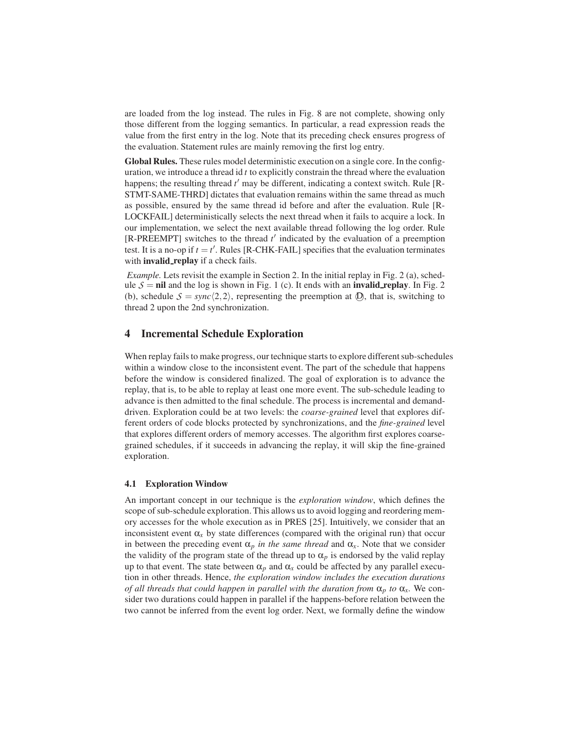are loaded from the log instead. The rules in Fig. 8 are not complete, showing only those different from the logging semantics. In particular, a read expression reads the value from the first entry in the log. Note that its preceding check ensures progress of the evaluation. Statement rules are mainly removing the first log entry.

Global Rules. These rules model deterministic execution on a single core. In the configuration, we introduce a thread id *t* to explicitly constrain the thread where the evaluation happens; the resulting thread  $t'$  may be different, indicating a context switch. Rule [R-STMT-SAME-THRD] dictates that evaluation remains within the same thread as much as possible, ensured by the same thread id before and after the evaluation. Rule [R-LOCKFAIL] deterministically selects the next thread when it fails to acquire a lock. In our implementation, we select the next available thread following the log order. Rule [R-PREEMPT] switches to the thread  $t'$  indicated by the evaluation of a preemption test. It is a no-op if  $t = t'$ . Rules [R-CHK-FAIL] specifies that the evaluation terminates with **invalid\_replay** if a check fails.

*Example.* Lets revisit the example in Section 2. In the initial replay in Fig. 2 (a), schedule  $S = \textbf{nil}$  and the log is shown in Fig. 1 (c). It ends with an **invalid replay**. In Fig. 2 (b), schedule  $S = sync(2,2)$ , representing the preemption at  $\mathbb{D}$ , that is, switching to thread 2 upon the 2nd synchronization.

# 4 Incremental Schedule Exploration

When replay fails to make progress, our technique starts to explore different sub-schedules within a window close to the inconsistent event. The part of the schedule that happens before the window is considered finalized. The goal of exploration is to advance the replay, that is, to be able to replay at least one more event. The sub-schedule leading to advance is then admitted to the final schedule. The process is incremental and demanddriven. Exploration could be at two levels: the *coarse-grained* level that explores different orders of code blocks protected by synchronizations, and the *fine-grained* level that explores different orders of memory accesses. The algorithm first explores coarsegrained schedules, if it succeeds in advancing the replay, it will skip the fine-grained exploration.

#### 4.1 Exploration Window

An important concept in our technique is the *exploration window*, which defines the scope of sub-schedule exploration. This allows us to avoid logging and reordering memory accesses for the whole execution as in PRES [25]. Intuitively, we consider that an inconsistent event  $\alpha_x$  by state differences (compared with the original run) that occur in between the preceding event  $\alpha_p$  *in the same thread* and  $\alpha_x$ . Note that we consider the validity of the program state of the thread up to  $\alpha_p$  is endorsed by the valid replay up to that event. The state between  $\alpha_p$  and  $\alpha_x$  could be affected by any parallel execution in other threads. Hence, *the exploration window includes the execution durations of all threads that could happen in parallel with the duration from*  $\alpha_p$  *to*  $\alpha_x$ *. We con*sider two durations could happen in parallel if the happens-before relation between the two cannot be inferred from the event log order. Next, we formally define the window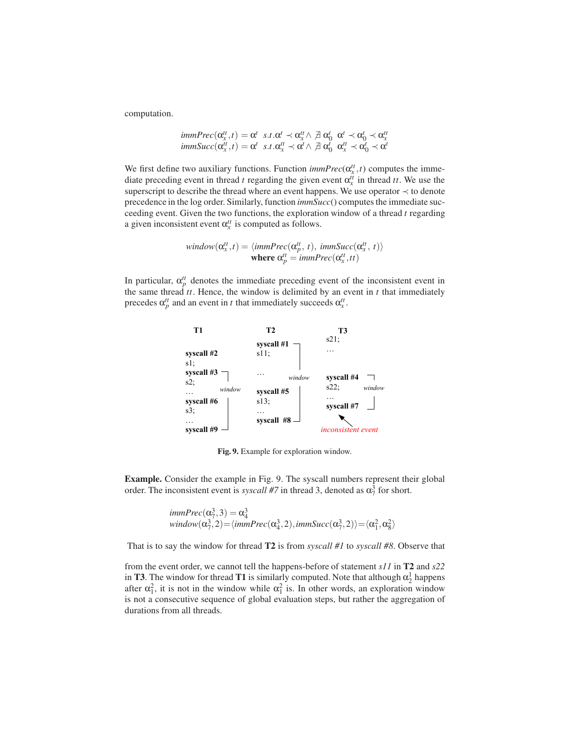computation.

$$
immPrec(\alpha_x^{tt}, t) = \alpha^t \ s.t. \alpha^t \prec \alpha_x^{tt} \land \exists \alpha_0^t \ \alpha^t \prec \alpha_0^t \prec \alpha_x^{tt}
$$
  

$$
immsucc(\alpha_x^{tt}, t) = \alpha^t \ s.t. \alpha_x^{tt} \prec \alpha^t \land \exists \ \alpha_0^t \ \alpha_x^{tt} \prec \alpha_0^t \prec \alpha_x^t
$$

We first define two auxiliary functions. Function  $\text{immPrec}(\alpha_x^{tt}, t)$  computes the immediate preceding event in thread *t* regarding the given event  $\alpha_x^{tt}$  in thread *tt*. We use the superscript to describe the thread where an event happens. We use operator  $\prec$  to denote precedence in the log order. Similarly, function *immSucc*() computes the immediate succeeding event. Given the two functions, the exploration window of a thread *t* regarding a given inconsistent event  $\alpha_x^{tt}$  is computed as follows.

$$
window(\alpha_x^{tt}, t) = \langle \text{immPrec}(\alpha_p^{tt}, t), \text{ immSucc}(\alpha_x^{tt}, t) \rangle
$$
  
**where**  $\alpha_p^{tt} = \text{immPrec}(\alpha_x^{tt}, tt)$ 

In particular,  $\alpha_p^{tt}$  denotes the immediate preceding event of the inconsistent event in the same thread *tt*. Hence, the window is delimited by an event in *t* that immediately precedes  $\alpha_p^{tt}$  and an event in *t* that immediately succeeds  $\alpha_x^{tt}$ .



Fig. 9. Example for exploration window.

Example. Consider the example in Fig. 9. The syscall numbers represent their global order. The inconsistent event is *syscall* #7 in thread 3, denoted as  $\alpha_7^3$  for short.

$$
immPrec(\alpha_7^3, 3) = \alpha_4^3
$$
  
window( $\alpha_7^3, 2$ ) =  $\langle immPrec(\alpha_4^3, 2), immsucc(\alpha_7^3, 2) \rangle = \langle \alpha_1^2, \alpha_8^2 \rangle$ 

That is to say the window for thread T2 is from *syscall #1* to *syscall #8*. Observe that

from the event order, we cannot tell the happens-before of statement *s11* in T2 and *s22* in T3. The window for thread T1 is similarly computed. Note that although  $\alpha_2^1$  happens after  $\alpha_1^2$ , it is not in the window while  $\alpha_1^2$  is. In other words, an exploration window is not a consecutive sequence of global evaluation steps, but rather the aggregation of durations from all threads.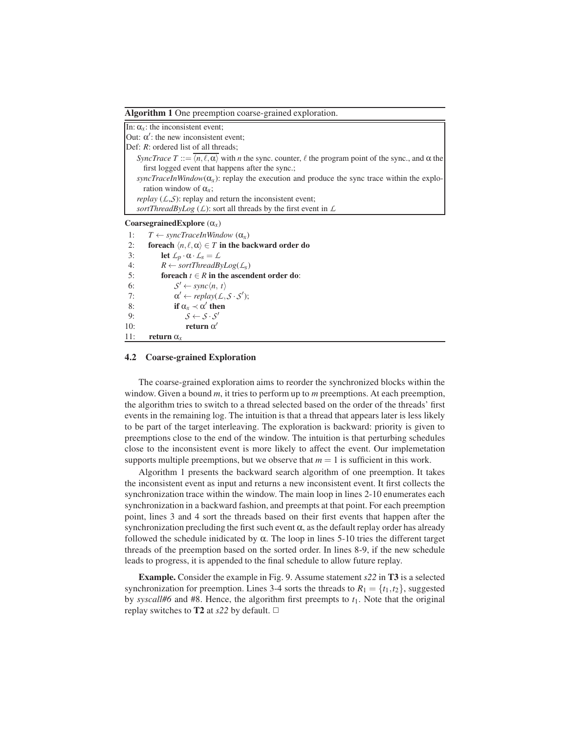Algorithm 1 One preemption coarse-grained exploration.

| In: $\alpha_x$ : the inconsistent event;                                                                                                                   |
|------------------------------------------------------------------------------------------------------------------------------------------------------------|
| Out: $\alpha'$ : the new inconsistent event;                                                                                                               |
| Def: $R$ : ordered list of all threads;                                                                                                                    |
| <i>SyncTrace T</i> ::= $\overline{\langle n,\ell,\alpha \rangle}$ with <i>n</i> the sync. counter, $\ell$ the program point of the sync., and $\alpha$ the |
| first logged event that happens after the sync.;                                                                                                           |
| syncTraceInWindow( $\alpha_x$ ): replay the execution and produce the sync trace within the explo-                                                         |
| ration window of $\alpha_{r}$ ;                                                                                                                            |
| <i>replay</i> ( $\angle$ , $\angle$ , $\angle$ ): replay and return the inconsistent event;                                                                |
| sortThreadByLog $(L)$ : sort all threads by the first event in L                                                                                           |
| Coarsegrained Explore $(\alpha_x)$                                                                                                                         |
| $T \leftarrow syncTraceInWindow(\alpha_{r})$<br>1:                                                                                                         |
| foreach $\langle n, \ell, \alpha \rangle \in T$ in the backward order do<br>2:                                                                             |
| 3:<br>let $\mathcal{L}_p \cdot \alpha \cdot \mathcal{L}_s = \mathcal{L}$                                                                                   |
| 4:<br>$R \leftarrow sortThreadBvLog(\mathcal{L}_s)$                                                                                                        |
| 5:<br>for each $t \in R$ in the ascendent order do:                                                                                                        |
| $S' \leftarrow sync\langle n, t \rangle$<br>6:                                                                                                             |
| $\alpha' \leftarrow \text{replay}(\text{L}, \text{S} \cdot \text{S}').$<br>7:                                                                              |
| if $\alpha_r \prec \alpha'$ then<br>8:                                                                                                                     |
| $S \leftarrow S \cdot S'$<br>9:                                                                                                                            |
| return $\alpha'$<br>10:                                                                                                                                    |
|                                                                                                                                                            |

11: return α*x*

#### 4.2 Coarse-grained Exploration

The coarse-grained exploration aims to reorder the synchronized blocks within the window. Given a bound *m*, it tries to perform up to *m* preemptions. At each preemption, the algorithm tries to switch to a thread selected based on the order of the threads' first events in the remaining log. The intuition is that a thread that appears later is less likely to be part of the target interleaving. The exploration is backward: priority is given to preemptions close to the end of the window. The intuition is that perturbing schedules close to the inconsistent event is more likely to affect the event. Our implemetation supports multiple preemptions, but we observe that  $m = 1$  is sufficient in this work.

Algorithm 1 presents the backward search algorithm of one preemption. It takes the inconsistent event as input and returns a new inconsistent event. It first collects the synchronization trace within the window. The main loop in lines 2-10 enumerates each synchronization in a backward fashion, and preempts at that point. For each preemption point, lines 3 and 4 sort the threads based on their first events that happen after the synchronization precluding the first such event  $\alpha$ , as the default replay order has already followed the schedule inidicated by  $\alpha$ . The loop in lines 5-10 tries the different target threads of the preemption based on the sorted order. In lines 8-9, if the new schedule leads to progress, it is appended to the final schedule to allow future replay.

Example. Consider the example in Fig. 9. Assume statement *s22* in T3 is a selected synchronization for preemption. Lines 3-4 sorts the threads to  $R_1 = \{t_1, t_2\}$ , suggested by *syscall#6* and #8. Hence, the algorithm first preempts to *t*1. Note that the original replay switches to **T2** at  $s22$  by default.  $\Box$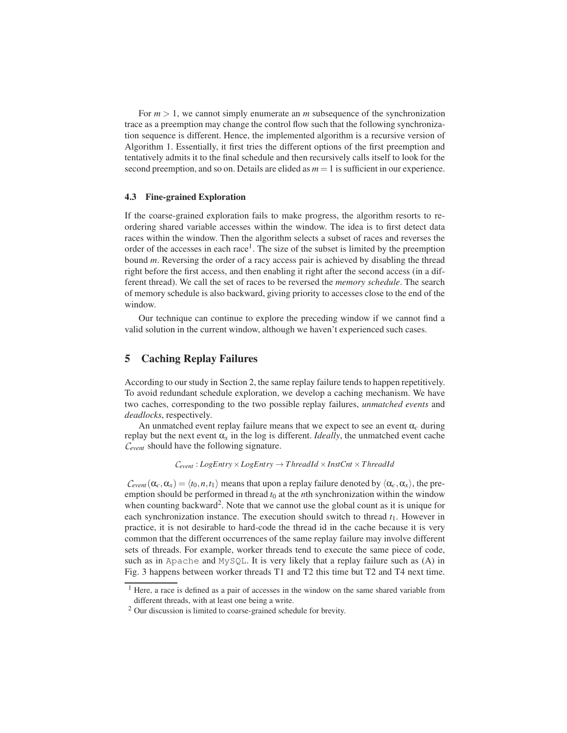For  $m > 1$ , we cannot simply enumerate an *m* subsequence of the synchronization trace as a preemption may change the control flow such that the following synchronization sequence is different. Hence, the implemented algorithm is a recursive version of Algorithm 1. Essentially, it first tries the different options of the first preemption and tentatively admits it to the final schedule and then recursively calls itself to look for the second preemption, and so on. Details are elided as  $m = 1$  is sufficient in our experience.

#### 4.3 Fine-grained Exploration

If the coarse-grained exploration fails to make progress, the algorithm resorts to reordering shared variable accesses within the window. The idea is to first detect data races within the window. Then the algorithm selects a subset of races and reverses the order of the accesses in each race<sup>1</sup>. The size of the subset is limited by the preemption bound *m*. Reversing the order of a racy access pair is achieved by disabling the thread right before the first access, and then enabling it right after the second access (in a different thread). We call the set of races to be reversed the *memory schedule*. The search of memory schedule is also backward, giving priority to accesses close to the end of the window.

Our technique can continue to explore the preceding window if we cannot find a valid solution in the current window, although we haven't experienced such cases.

# 5 Caching Replay Failures

According to our study in Section 2, the same replay failure tends to happen repetitively. To avoid redundant schedule exploration, we develop a caching mechanism. We have two caches, corresponding to the two possible replay failures, *unmatched events* and *deadlocks*, respectively.

An unmatched event replay failure means that we expect to see an event  $\alpha_c$  during replay but the next event  $\alpha_x$  in the log is different. *Ideally*, the unmatched event cache *Cevent* should have the following signature.

 $C_{event}$ :  $LogEntry \times LogEntry \rightarrow ThreadId \times InstCnt \times ThreadId$ 

 $C_{event}(\alpha_c, \alpha_x) = \langle t_0, n, t_1 \rangle$  means that upon a replay failure denoted by  $\langle \alpha_c, \alpha_x \rangle$ , the preemption should be performed in thread  $t_0$  at the *n*th synchronization within the window when counting backward<sup>2</sup>. Note that we cannot use the global count as it is unique for each synchronization instance. The execution should switch to thread  $t_1$ . However in practice, it is not desirable to hard-code the thread id in the cache because it is very common that the different occurrences of the same replay failure may involve different sets of threads. For example, worker threads tend to execute the same piece of code, such as in Apache and MySQL. It is very likely that a replay failure such as (A) in Fig. 3 happens between worker threads T1 and T2 this time but T2 and T4 next time.

<sup>&</sup>lt;sup>1</sup> Here, a race is defined as a pair of accesses in the window on the same shared variable from different threads, with at least one being a write.

<sup>2</sup> Our discussion is limited to coarse-grained schedule for brevity.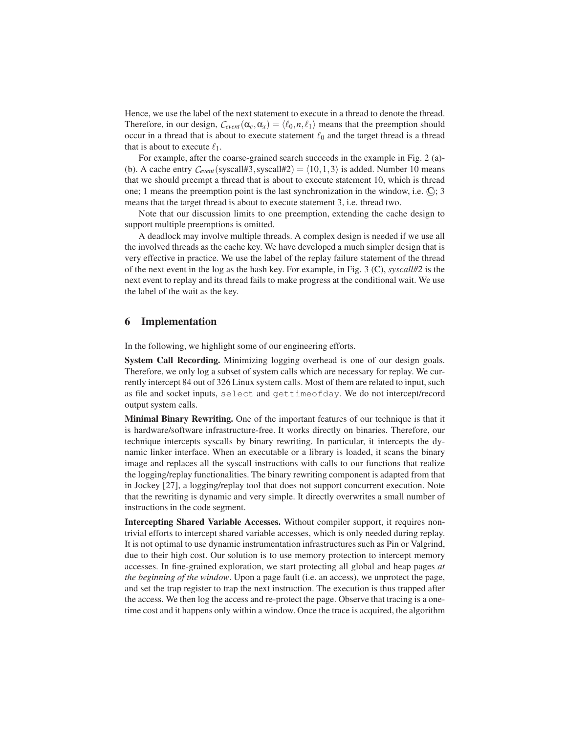Hence, we use the label of the next statement to execute in a thread to denote the thread. Therefore, in our design,  $C_{event}(\alpha_c, \alpha_x) = \langle \ell_0, n, \ell_1 \rangle$  means that the preemption should occur in a thread that is about to execute statement  $\ell_0$  and the target thread is a thread that is about to execute  $\ell_1$ .

For example, after the coarse-grained search succeeds in the example in Fig. 2 (a)- (b). A cache entry  $C_{event}$ (syscall#3, syscall#2) =  $\langle 10, 1, 3 \rangle$  is added. Number 10 means that we should preempt a thread that is about to execute statement 10, which is thread one; 1 means the preemption point is the last synchronization in the window, i.e.  $\mathbb{Q}$ ; 3 means that the target thread is about to execute statement 3, i.e. thread two.

Note that our discussion limits to one preemption, extending the cache design to support multiple preemptions is omitted.

A deadlock may involve multiple threads. A complex design is needed if we use all the involved threads as the cache key. We have developed a much simpler design that is very effective in practice. We use the label of the replay failure statement of the thread of the next event in the log as the hash key. For example, in Fig. 3 (C), *syscall#2* is the next event to replay and its thread fails to make progress at the conditional wait. We use the label of the wait as the key.

#### 6 Implementation

In the following, we highlight some of our engineering efforts.

System Call Recording. Minimizing logging overhead is one of our design goals. Therefore, we only log a subset of system calls which are necessary for replay. We currently intercept 84 out of 326 Linux system calls. Most of them are related to input, such as file and socket inputs, select and gettimeofday. We do not intercept/record output system calls.

Minimal Binary Rewriting. One of the important features of our technique is that it is hardware/software infrastructure-free. It works directly on binaries. Therefore, our technique intercepts syscalls by binary rewriting. In particular, it intercepts the dynamic linker interface. When an executable or a library is loaded, it scans the binary image and replaces all the syscall instructions with calls to our functions that realize the logging/replay functionalities. The binary rewriting component is adapted from that in Jockey [27], a logging/replay tool that does not support concurrent execution. Note that the rewriting is dynamic and very simple. It directly overwrites a small number of instructions in the code segment.

Intercepting Shared Variable Accesses. Without compiler support, it requires nontrivial efforts to intercept shared variable accesses, which is only needed during replay. It is not optimal to use dynamic instrumentation infrastructures such as Pin or Valgrind, due to their high cost. Our solution is to use memory protection to intercept memory accesses. In fine-grained exploration, we start protecting all global and heap pages *at the beginning of the window*. Upon a page fault (i.e. an access), we unprotect the page, and set the trap register to trap the next instruction. The execution is thus trapped after the access. We then log the access and re-protect the page. Observe that tracing is a onetime cost and it happens only within a window. Once the trace is acquired, the algorithm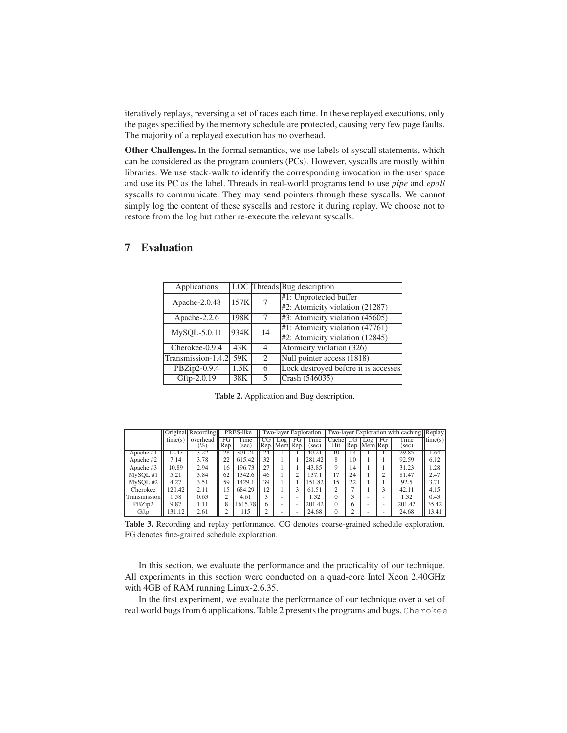iteratively replays, reversing a set of races each time. In these replayed executions, only the pages specified by the memory schedule are protected, causing very few page faults. The majority of a replayed execution has no overhead.

Other Challenges. In the formal semantics, we use labels of syscall statements, which can be considered as the program counters (PCs). However, syscalls are mostly within libraries. We use stack-walk to identify the corresponding invocation in the user space and use its PC as the label. Threads in real-world programs tend to use *pipe* and *epoll* syscalls to communicate. They may send pointers through these syscalls. We cannot simply log the content of these syscalls and restore it during replay. We choose not to restore from the log but rather re-execute the relevant syscalls.

| Applications       |      |               | <b>LOC</b> Threads Bug description   |  |  |  |  |
|--------------------|------|---------------|--------------------------------------|--|--|--|--|
| Apache-2.0.48      | 157K |               | #1: Unprotected buffer               |  |  |  |  |
|                    |      |               | #2: Atomicity violation (21287)      |  |  |  |  |
| Apache-2.2.6       | 198K |               | #3: Atomicity violation (45605)      |  |  |  |  |
| $MySQL-5.0.11$     | 934K | 14            | #1: Atomicity violation (47761)      |  |  |  |  |
|                    |      |               | #2: Atomicity violation (12845)      |  |  |  |  |
| Cherokee-0.9.4     | 43K  | 4             | Atomicity violation (326)            |  |  |  |  |
| Transmission-1.4.2 | 59K  | $\mathcal{L}$ | Null pointer access (1818)           |  |  |  |  |
| PBZip2-0.9.4       | 1.5K | 6             | Lock destroyed before it is accesses |  |  |  |  |
| Gftp-2.0.19        | 38K  |               | Crash (546035)                       |  |  |  |  |

### 7 Evaluation

Table 2. Application and Bug description.

|                       |         | Original Recording |            | PRES-like     |    |               |    | Two-layer Exploration |               |    |                       |    | <b>Two-layer Exploration with caching Replay</b> |         |
|-----------------------|---------|--------------------|------------|---------------|----|---------------|----|-----------------------|---------------|----|-----------------------|----|--------------------------------------------------|---------|
|                       | time(s) | overhead<br>$(\%)$ | FG<br>Rep. | Time<br>(sec) |    | Rep. Mem Rep. | FG | Time<br>(sec)         | `achel<br>Hit |    | 1.09<br>Rep. Mem Rep. | FG | Time<br>(sec)                                    | time(s) |
| Apache #1             | 12.43   | 3.22               | 28         | 301.21        | 24 |               |    | 40.21                 | 10            | 14 |                       |    | 29.85                                            | 1.64    |
| Apache #2             | 7.14    | 3.78               | 22         | 615.42        | 32 |               |    | 281.42                | 8             | 10 |                       |    | 92.59                                            | 6.12    |
| Apache #3             | 10.89   | 2.94               | 16         | 196.73        | 27 |               |    | 43.85                 |               | 14 |                       |    | 31.23                                            | 1.28    |
| M <sub>Y</sub> SOL #1 | 5.21    | 3.84               | 62         | 1342.6        | 46 |               | ↑  | 137.1                 |               | 24 |                       | ◠  | 81.47                                            | 2.47    |
| MySOL#2               | 4.27    | 3.51               | 59         | 1429.1        | 39 |               |    | 151.82                | 15            | 22 |                       |    | 92.5                                             | 3.71    |
| Cherokee              | 120.42  | 2.11               | 15         | 684.29        | 12 |               | 3  | 61.51                 | ◠             |    |                       |    | 42.11                                            | 4.15    |
| Transmission          | 1.58    | 0.63               |            | 4.61          |    |               |    | 1.32                  |               |    |                       |    | 1.32                                             | 0.43    |
| PBZip2                | 9.87    | 1.11               |            | 1615.78       |    |               | ۰  | 201.42                |               | h  |                       |    | 201.42                                           | 35.42   |
| Gftp                  | 31.12   | 2.61               |            | 115           |    |               | -  | 24.68                 |               |    |                       |    | 24.68                                            | 13.41   |

Table 3. Recording and replay performance. CG denotes coarse-grained schedule exploration. FG denotes fine-grained schedule exploration.

In this section, we evaluate the performance and the practicality of our technique. All experiments in this section were conducted on a quad-core Intel Xeon 2.40GHz with 4GB of RAM running Linux-2.6.35.

In the first experiment, we evaluate the performance of our technique over a set of real world bugs from 6 applications. Table 2 presents the programs and bugs. Cherokee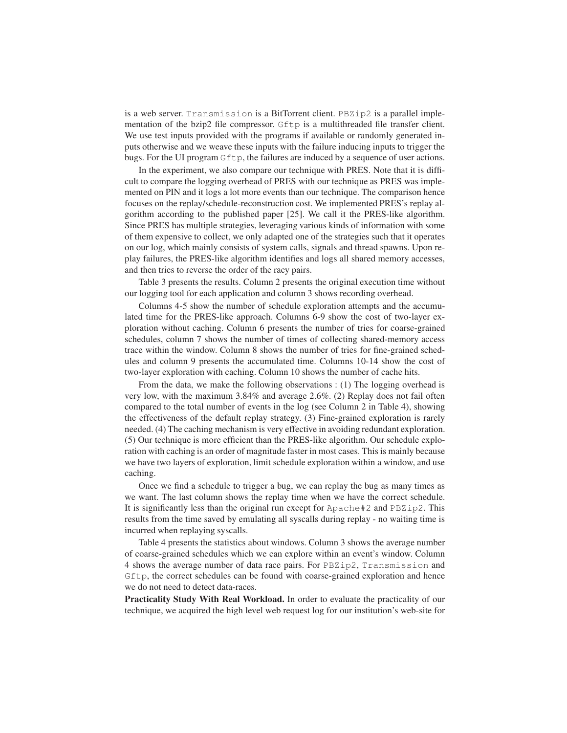is a web server. Transmission is a BitTorrent client. PBZip2 is a parallel implementation of the bzip2 file compressor. Gftp is a multithreaded file transfer client. We use test inputs provided with the programs if available or randomly generated inputs otherwise and we weave these inputs with the failure inducing inputs to trigger the bugs. For the UI program Gftp, the failures are induced by a sequence of user actions.

In the experiment, we also compare our technique with PRES. Note that it is difficult to compare the logging overhead of PRES with our technique as PRES was implemented on PIN and it logs a lot more events than our technique. The comparison hence focuses on the replay/schedule-reconstruction cost. We implemented PRES's replay algorithm according to the published paper [25]. We call it the PRES-like algorithm. Since PRES has multiple strategies, leveraging various kinds of information with some of them expensive to collect, we only adapted one of the strategies such that it operates on our log, which mainly consists of system calls, signals and thread spawns. Upon replay failures, the PRES-like algorithm identifies and logs all shared memory accesses, and then tries to reverse the order of the racy pairs.

Table 3 presents the results. Column 2 presents the original execution time without our logging tool for each application and column 3 shows recording overhead.

Columns 4-5 show the number of schedule exploration attempts and the accumulated time for the PRES-like approach. Columns 6-9 show the cost of two-layer exploration without caching. Column 6 presents the number of tries for coarse-grained schedules, column 7 shows the number of times of collecting shared-memory access trace within the window. Column 8 shows the number of tries for fine-grained schedules and column 9 presents the accumulated time. Columns 10-14 show the cost of two-layer exploration with caching. Column 10 shows the number of cache hits.

From the data, we make the following observations : (1) The logging overhead is very low, with the maximum 3.84% and average 2.6%. (2) Replay does not fail often compared to the total number of events in the log (see Column 2 in Table 4), showing the effectiveness of the default replay strategy. (3) Fine-grained exploration is rarely needed. (4) The caching mechanism is very effective in avoiding redundant exploration. (5) Our technique is more efficient than the PRES-like algorithm. Our schedule exploration with caching is an order of magnitude faster in most cases. This is mainly because we have two layers of exploration, limit schedule exploration within a window, and use caching.

Once we find a schedule to trigger a bug, we can replay the bug as many times as we want. The last column shows the replay time when we have the correct schedule. It is significantly less than the original run except for Apache#2 and PBZip2. This results from the time saved by emulating all syscalls during replay - no waiting time is incurred when replaying syscalls.

Table 4 presents the statistics about windows. Column 3 shows the average number of coarse-grained schedules which we can explore within an event's window. Column 4 shows the average number of data race pairs. For PBZip2, Transmission and Gftp, the correct schedules can be found with coarse-grained exploration and hence we do not need to detect data-races.

Practicality Study With Real Workload. In order to evaluate the practicality of our technique, we acquired the high level web request log for our institution's web-site for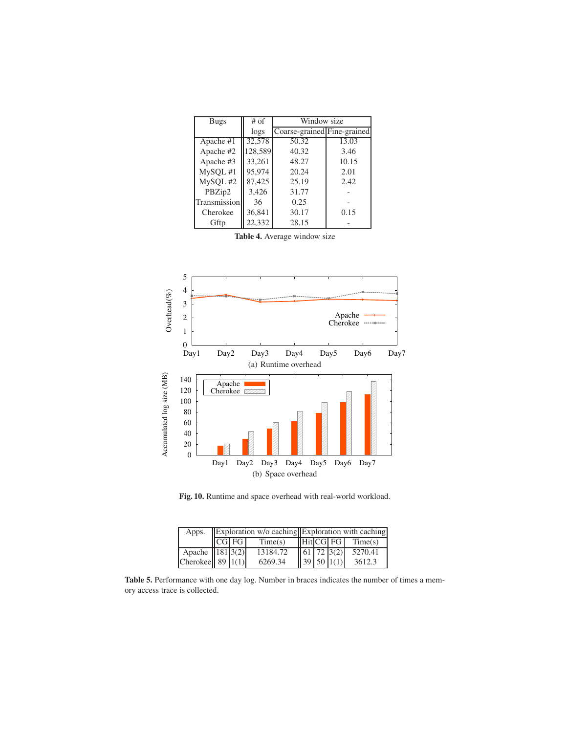| Bugs         | $#$ of  | Window size                 |       |  |  |  |  |
|--------------|---------|-----------------------------|-------|--|--|--|--|
|              | logs    | Coarse-grained Fine-grained |       |  |  |  |  |
| Apache #1    | 32,578  | 50.32                       | 13.03 |  |  |  |  |
| Apache #2    | 128,589 | 40.32                       | 3.46  |  |  |  |  |
| Apache #3    | 33,261  | 48.27                       | 10.15 |  |  |  |  |
| MySQL #1     | 95,974  | 20.24                       | 2.01  |  |  |  |  |
| MySQL #2     | 87,425  | 25.19                       | 2.42  |  |  |  |  |
| PBZip2       | 3,426   | 31.77                       |       |  |  |  |  |
| Transmission | 36      | 0.25                        |       |  |  |  |  |
| Cherokee     | 36,841  | 30.17                       | 0.15  |  |  |  |  |
| Gftp         | 22.332  | 28.15                       |       |  |  |  |  |

Table 4. Average window size



Fig. 10. Runtime and space overhead with real-world workload.

| Apps.                      | $\mathbf{z}$ Exploration w/o caching Exploration with caching |       |          |  |  |            |                                                                |  |  |
|----------------------------|---------------------------------------------------------------|-------|----------|--|--|------------|----------------------------------------------------------------|--|--|
|                            |                                                               | CG FG | Time(s)  |  |  |            | $\left\  \right\ $ Hit $\left  CG \right $ FG $\left $ Time(s) |  |  |
| Apache $\boxed{181\,3(2)}$ |                                                               |       | 13184.72 |  |  | 61 72 3(2) | 5270.41                                                        |  |  |
| Cherokee 89 $1(1)$         |                                                               |       | 6269.34  |  |  | 39 50 1(1) | 3612.3                                                         |  |  |

Table 5. Performance with one day log. Number in braces indicates the number of times a memory access trace is collected.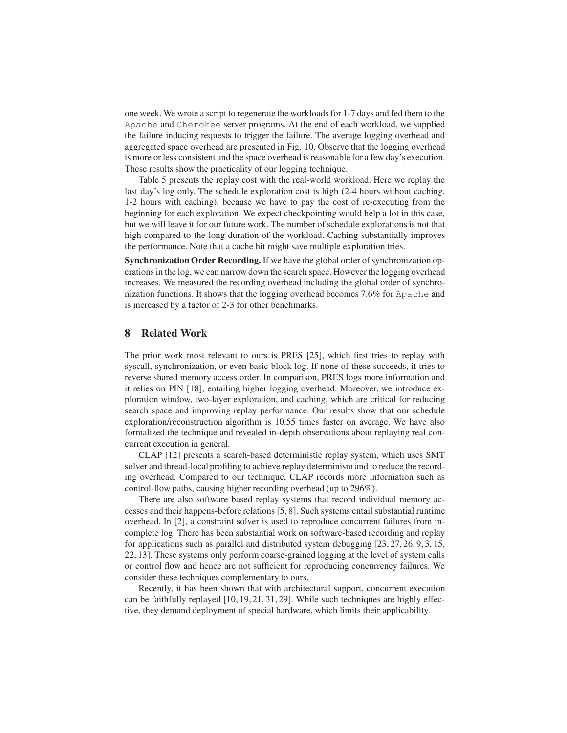one week. We wrote a script to regenerate the workloads for 1-7 days and fed them to the Apache and Cherokee server programs. At the end of each workload, we supplied the failure inducing requests to trigger the failure. The average logging overhead and aggregated space overhead are presented in Fig. 10. Observe that the logging overhead is more or less consistent and the space overhead is reasonable for a few day's execution. These results show the practicality of our logging technique.

Table 5 presents the replay cost with the real-world workload. Here we replay the last day's log only. The schedule exploration cost is high (2-4 hours without caching, 1-2 hours with caching), because we have to pay the cost of re-executing from the beginning for each exploration. We expect checkpointing would help a lot in this case, but we will leave it for our future work. The number of schedule explorations is not that high compared to the long duration of the workload. Caching substantially improves the performance. Note that a cache hit might save multiple exploration tries.

Synchronization Order Recording. If we have the global order of synchronization operations in the log, we can narrow down the search space. However the logging overhead increases. We measured the recording overhead including the global order of synchronization functions. It shows that the logging overhead becomes 7.6% for Apache and is increased by a factor of 2-3 for other benchmarks.

### 8 Related Work

The prior work most relevant to ours is PRES [25], which first tries to replay with syscall, synchronization, or even basic block log. If none of these succeeds, it tries to reverse shared memory access order. In comparison, PRES logs more information and it relies on PIN [18], entailing higher logging overhead. Moreover, we introduce exploration window, two-layer exploration, and caching, which are critical for reducing search space and improving replay performance. Our results show that our schedule exploration/reconstruction algorithm is 10.55 times faster on average. We have also formalized the technique and revealed in-depth observations about replaying real concurrent execution in general.

CLAP [12] presents a search-based deterministic replay system, which uses SMT solver and thread-local profiling to achieve replay determinism and to reduce the recording overhead. Compared to our technique, CLAP records more information such as control-flow paths, causing higher recording overhead (up to 296%).

There are also software based replay systems that record individual memory accesses and their happens-before relations [5, 8]. Such systems entail substantial runtime overhead. In [2], a constraint solver is used to reproduce concurrent failures from incomplete log. There has been substantial work on software-based recording and replay for applications such as parallel and distributed system debugging [23, 27, 26, 9, 3, 15, 22, 13]. These systems only perform coarse-grained logging at the level of system calls or control flow and hence are not sufficient for reproducing concurrency failures. We consider these techniques complementary to ours.

Recently, it has been shown that with architectural support, concurrent execution can be faithfully replayed [10, 19, 21, 31, 29]. While such techniques are highly effective, they demand deployment of special hardware, which limits their applicability.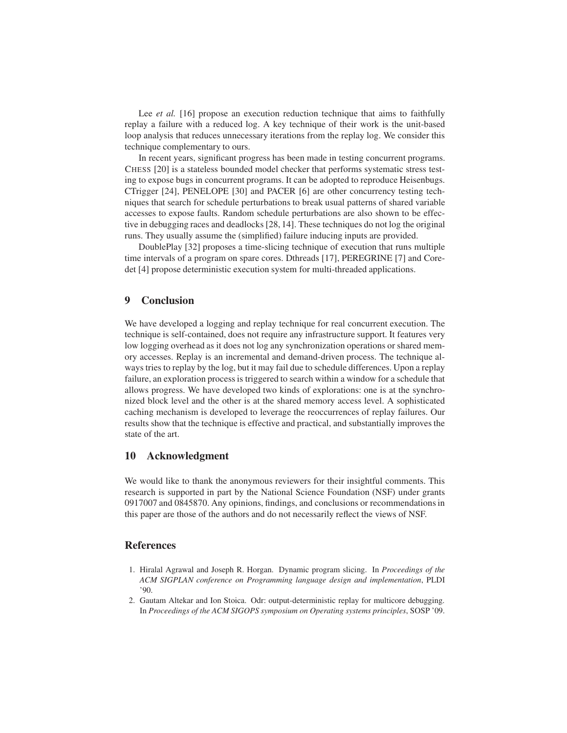Lee *et al.* [16] propose an execution reduction technique that aims to faithfully replay a failure with a reduced log. A key technique of their work is the unit-based loop analysis that reduces unnecessary iterations from the replay log. We consider this technique complementary to ours.

In recent years, significant progress has been made in testing concurrent programs. CHESS [20] is a stateless bounded model checker that performs systematic stress testing to expose bugs in concurrent programs. It can be adopted to reproduce Heisenbugs. CTrigger [24], PENELOPE [30] and PACER [6] are other concurrency testing techniques that search for schedule perturbations to break usual patterns of shared variable accesses to expose faults. Random schedule perturbations are also shown to be effective in debugging races and deadlocks [28, 14]. These techniques do not log the original runs. They usually assume the (simplified) failure inducing inputs are provided.

DoublePlay [32] proposes a time-slicing technique of execution that runs multiple time intervals of a program on spare cores. Dthreads [17], PEREGRINE [7] and Coredet [4] propose deterministic execution system for multi-threaded applications.

# 9 Conclusion

We have developed a logging and replay technique for real concurrent execution. The technique is self-contained, does not require any infrastructure support. It features very low logging overhead as it does not log any synchronization operations or shared memory accesses. Replay is an incremental and demand-driven process. The technique always tries to replay by the log, but it may fail due to schedule differences. Upon a replay failure, an exploration process is triggered to search within a window for a schedule that allows progress. We have developed two kinds of explorations: one is at the synchronized block level and the other is at the shared memory access level. A sophisticated caching mechanism is developed to leverage the reoccurrences of replay failures. Our results show that the technique is effective and practical, and substantially improves the state of the art.

# 10 Acknowledgment

We would like to thank the anonymous reviewers for their insightful comments. This research is supported in part by the National Science Foundation (NSF) under grants 0917007 and 0845870. Any opinions, findings, and conclusions or recommendations in this paper are those of the authors and do not necessarily reflect the views of NSF.

#### References

- 1. Hiralal Agrawal and Joseph R. Horgan. Dynamic program slicing. In *Proceedings of the ACM SIGPLAN conference on Programming language design and implementation*, PLDI '90.
- 2. Gautam Altekar and Ion Stoica. Odr: output-deterministic replay for multicore debugging. In *Proceedings of the ACM SIGOPS symposium on Operating systems principles*, SOSP '09.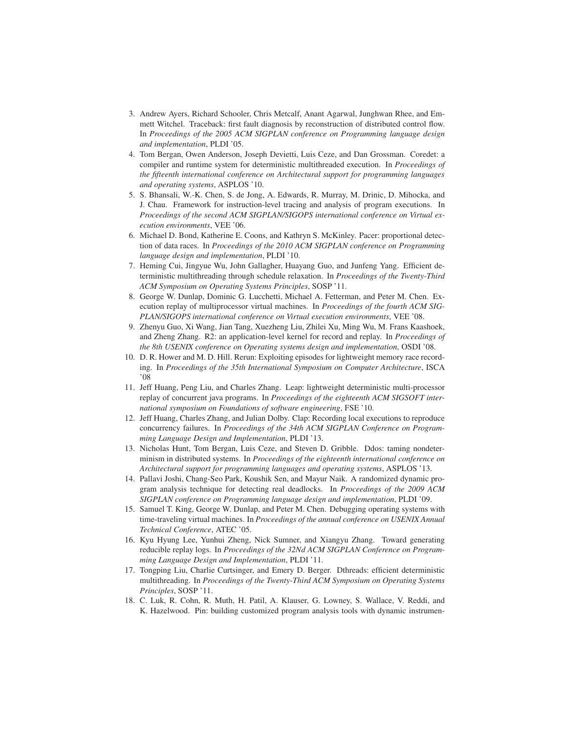- 3. Andrew Ayers, Richard Schooler, Chris Metcalf, Anant Agarwal, Junghwan Rhee, and Emmett Witchel. Traceback: first fault diagnosis by reconstruction of distributed control flow. In *Proceedings of the 2005 ACM SIGPLAN conference on Programming language design and implementation*, PLDI '05.
- 4. Tom Bergan, Owen Anderson, Joseph Devietti, Luis Ceze, and Dan Grossman. Coredet: a compiler and runtime system for deterministic multithreaded execution. In *Proceedings of the fifteenth international conference on Architectural support for programming languages and operating systems*, ASPLOS '10.
- 5. S. Bhansali, W.-K. Chen, S. de Jong, A. Edwards, R. Murray, M. Drinic, D. Mihocka, and J. Chau. Framework for instruction-level tracing and analysis of program executions. In *Proceedings of the second ACM SIGPLAN/SIGOPS international conference on Virtual execution environments*, VEE '06.
- 6. Michael D. Bond, Katherine E. Coons, and Kathryn S. McKinley. Pacer: proportional detection of data races. In *Proceedings of the 2010 ACM SIGPLAN conference on Programming language design and implementation*, PLDI '10.
- 7. Heming Cui, Jingyue Wu, John Gallagher, Huayang Guo, and Junfeng Yang. Efficient deterministic multithreading through schedule relaxation. In *Proceedings of the Twenty-Third ACM Symposium on Operating Systems Principles*, SOSP '11.
- 8. George W. Dunlap, Dominic G. Lucchetti, Michael A. Fetterman, and Peter M. Chen. Execution replay of multiprocessor virtual machines. In *Proceedings of the fourth ACM SIG-PLAN/SIGOPS international conference on Virtual execution environments*, VEE '08.
- 9. Zhenyu Guo, Xi Wang, Jian Tang, Xuezheng Liu, Zhilei Xu, Ming Wu, M. Frans Kaashoek, and Zheng Zhang. R2: an application-level kernel for record and replay. In *Proceedings of the 8th USENIX conference on Operating systems design and implementation*, OSDI '08.
- 10. D. R. Hower and M. D. Hill. Rerun: Exploiting episodes for lightweight memory race recording. In *Proceedings of the 35th International Symposium on Computer Architecture*, ISCA '08
- 11. Jeff Huang, Peng Liu, and Charles Zhang. Leap: lightweight deterministic multi-processor replay of concurrent java programs. In *Proceedings of the eighteenth ACM SIGSOFT international symposium on Foundations of software engineering*, FSE '10.
- 12. Jeff Huang, Charles Zhang, and Julian Dolby. Clap: Recording local executions to reproduce concurrency failures. In *Proceedings of the 34th ACM SIGPLAN Conference on Programming Language Design and Implementation*, PLDI '13.
- 13. Nicholas Hunt, Tom Bergan, Luis Ceze, and Steven D. Gribble. Ddos: taming nondeterminism in distributed systems. In *Proceedings of the eighteenth international conference on Architectural support for programming languages and operating systems*, ASPLOS '13.
- 14. Pallavi Joshi, Chang-Seo Park, Koushik Sen, and Mayur Naik. A randomized dynamic program analysis technique for detecting real deadlocks. In *Proceedings of the 2009 ACM SIGPLAN conference on Programming language design and implementation*, PLDI '09.
- 15. Samuel T. King, George W. Dunlap, and Peter M. Chen. Debugging operating systems with time-traveling virtual machines. In *Proceedings of the annual conference on USENIX Annual Technical Conference*, ATEC '05.
- 16. Kyu Hyung Lee, Yunhui Zheng, Nick Sumner, and Xiangyu Zhang. Toward generating reducible replay logs. In *Proceedings of the 32Nd ACM SIGPLAN Conference on Programming Language Design and Implementation*, PLDI '11.
- 17. Tongping Liu, Charlie Curtsinger, and Emery D. Berger. Dthreads: efficient deterministic multithreading. In *Proceedings of the Twenty-Third ACM Symposium on Operating Systems Principles*, SOSP '11.
- 18. C. Luk, R. Cohn, R. Muth, H. Patil, A. Klauser, G. Lowney, S. Wallace, V. Reddi, and K. Hazelwood. Pin: building customized program analysis tools with dynamic instrumen-